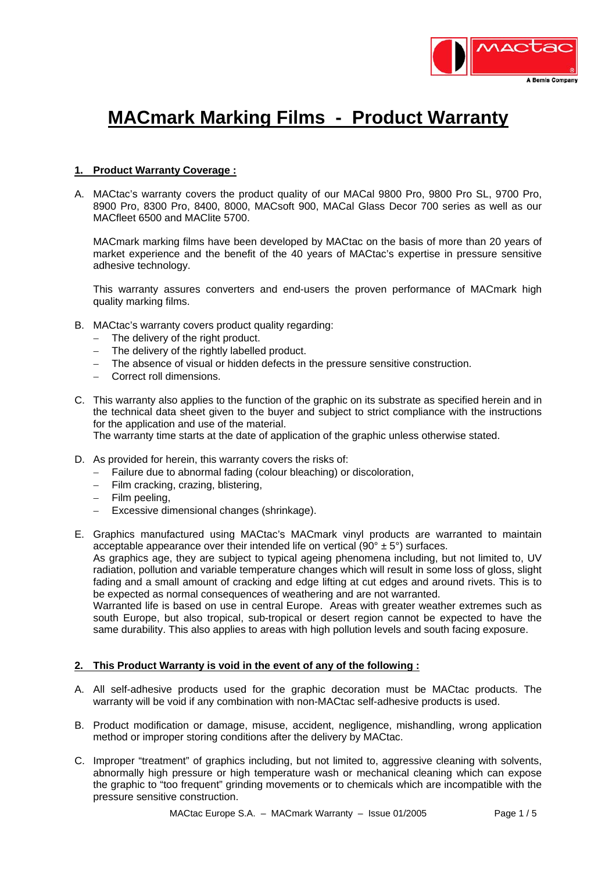

# **MACmark Marking Films - Product Warranty**

# **1. Product Warranty Coverage :**

A. MACtac's warranty covers the product quality of our MACal 9800 Pro, 9800 Pro SL, 9700 Pro, 8900 Pro, 8300 Pro, 8400, 8000, MACsoft 900, MACal Glass Decor 700 series as well as our MACfleet 6500 and MAClite 5700.

MACmark marking films have been developed by MACtac on the basis of more than 20 years of market experience and the benefit of the 40 years of MACtac's expertise in pressure sensitive adhesive technology.

This warranty assures converters and end-users the proven performance of MACmark high quality marking films.

- B. MACtac's warranty covers product quality regarding:
	- − The delivery of the right product.
	- − The delivery of the rightly labelled product.
	- − The absence of visual or hidden defects in the pressure sensitive construction.
	- − Correct roll dimensions.
- C. This warranty also applies to the function of the graphic on its substrate as specified herein and in the technical data sheet given to the buyer and subject to strict compliance with the instructions for the application and use of the material.

The warranty time starts at the date of application of the graphic unless otherwise stated.

- D. As provided for herein, this warranty covers the risks of:
	- − Failure due to abnormal fading (colour bleaching) or discoloration,
	- − Film cracking, crazing, blistering,
	- − Film peeling,
	- − Excessive dimensional changes (shrinkage).

E. Graphics manufactured using MACtac's MACmark vinyl products are warranted to maintain acceptable appearance over their intended life on vertical (90 $^{\circ}$  ± 5 $^{\circ}$ ) surfaces. As graphics age, they are subject to typical ageing phenomena including, but not limited to, UV radiation, pollution and variable temperature changes which will result in some loss of gloss, slight fading and a small amount of cracking and edge lifting at cut edges and around rivets. This is to be expected as normal consequences of weathering and are not warranted.

Warranted life is based on use in central Europe. Areas with greater weather extremes such as south Europe, but also tropical, sub-tropical or desert region cannot be expected to have the same durability. This also applies to areas with high pollution levels and south facing exposure.

## **2. This Product Warranty is void in the event of any of the following :**

- A. All self-adhesive products used for the graphic decoration must be MACtac products. The warranty will be void if any combination with non-MACtac self-adhesive products is used.
- B. Product modification or damage, misuse, accident, negligence, mishandling, wrong application method or improper storing conditions after the delivery by MACtac.
- C. Improper "treatment" of graphics including, but not limited to, aggressive cleaning with solvents, abnormally high pressure or high temperature wash or mechanical cleaning which can expose the graphic to "too frequent" grinding movements or to chemicals which are incompatible with the pressure sensitive construction.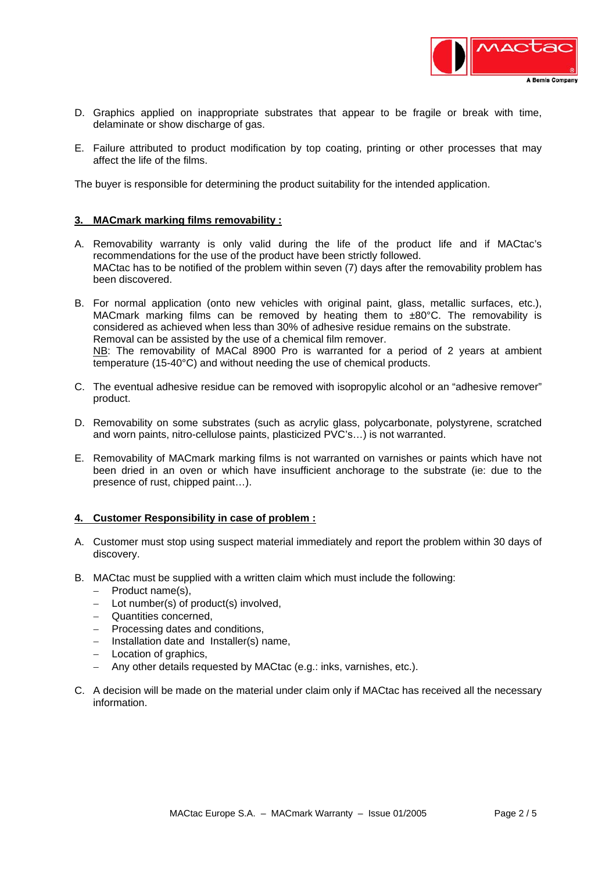

- D. Graphics applied on inappropriate substrates that appear to be fragile or break with time, delaminate or show discharge of gas.
- E. Failure attributed to product modification by top coating, printing or other processes that may affect the life of the films.

The buyer is responsible for determining the product suitability for the intended application.

## **3. MACmark marking films removability :**

- A. Removability warranty is only valid during the life of the product life and if MACtac's recommendations for the use of the product have been strictly followed. MACtac has to be notified of the problem within seven (7) days after the removability problem has been discovered.
- B. For normal application (onto new vehicles with original paint, glass, metallic surfaces, etc.), MACmark marking films can be removed by heating them to ±80°C. The removability is considered as achieved when less than 30% of adhesive residue remains on the substrate. Removal can be assisted by the use of a chemical film remover. NB: The removability of MACal 8900 Pro is warranted for a period of 2 years at ambient temperature (15-40°C) and without needing the use of chemical products.
- C. The eventual adhesive residue can be removed with isopropylic alcohol or an "adhesive remover" product.
- D. Removability on some substrates (such as acrylic glass, polycarbonate, polystyrene, scratched and worn paints, nitro-cellulose paints, plasticized PVC's…) is not warranted.
- E. Removability of MACmark marking films is not warranted on varnishes or paints which have not been dried in an oven or which have insufficient anchorage to the substrate (ie: due to the presence of rust, chipped paint…).

#### **4. Customer Responsibility in case of problem :**

- A. Customer must stop using suspect material immediately and report the problem within 30 days of discovery.
- B. MACtac must be supplied with a written claim which must include the following:
	- − Product name(s),
	- − Lot number(s) of product(s) involved,
	- − Quantities concerned,
	- − Processing dates and conditions,
	- − Installation date and Installer(s) name,
	- − Location of graphics,
	- − Any other details requested by MACtac (e.g.: inks, varnishes, etc.).
- C. A decision will be made on the material under claim only if MACtac has received all the necessary information.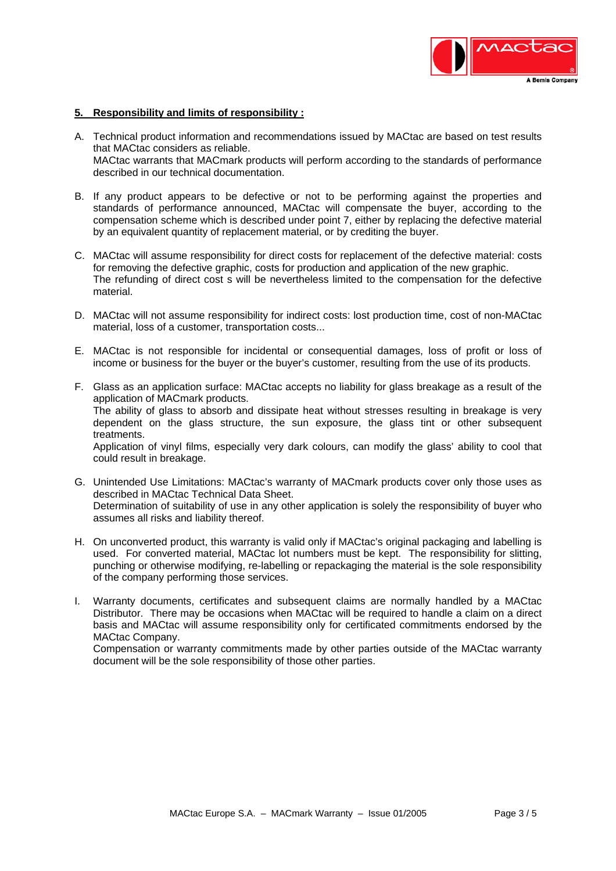

#### **5. Responsibility and limits of responsibility :**

- A. Technical product information and recommendations issued by MACtac are based on test results that MACtac considers as reliable. MACtac warrants that MACmark products will perform according to the standards of performance described in our technical documentation.
- B. If any product appears to be defective or not to be performing against the properties and standards of performance announced, MACtac will compensate the buyer, according to the compensation scheme which is described under point 7, either by replacing the defective material by an equivalent quantity of replacement material, or by crediting the buyer.
- C. MACtac will assume responsibility for direct costs for replacement of the defective material: costs for removing the defective graphic, costs for production and application of the new graphic. The refunding of direct cost s will be nevertheless limited to the compensation for the defective material.
- D. MACtac will not assume responsibility for indirect costs: lost production time, cost of non-MACtac material, loss of a customer, transportation costs...
- E. MACtac is not responsible for incidental or consequential damages, loss of profit or loss of income or business for the buyer or the buyer's customer, resulting from the use of its products.
- F. Glass as an application surface: MACtac accepts no liability for glass breakage as a result of the application of MACmark products. The ability of glass to absorb and dissipate heat without stresses resulting in breakage is very dependent on the glass structure, the sun exposure, the glass tint or other subsequent treatments. Application of vinyl films, especially very dark colours, can modify the glass' ability to cool that could result in breakage.
- G. Unintended Use Limitations: MACtac's warranty of MACmark products cover only those uses as described in MACtac Technical Data Sheet. Determination of suitability of use in any other application is solely the responsibility of buyer who assumes all risks and liability thereof.
- H. On unconverted product, this warranty is valid only if MACtac's original packaging and labelling is used. For converted material, MACtac lot numbers must be kept. The responsibility for slitting, punching or otherwise modifying, re-labelling or repackaging the material is the sole responsibility of the company performing those services.
- I. Warranty documents, certificates and subsequent claims are normally handled by a MACtac Distributor. There may be occasions when MACtac will be required to handle a claim on a direct basis and MACtac will assume responsibility only for certificated commitments endorsed by the MACtac Company.

Compensation or warranty commitments made by other parties outside of the MACtac warranty document will be the sole responsibility of those other parties.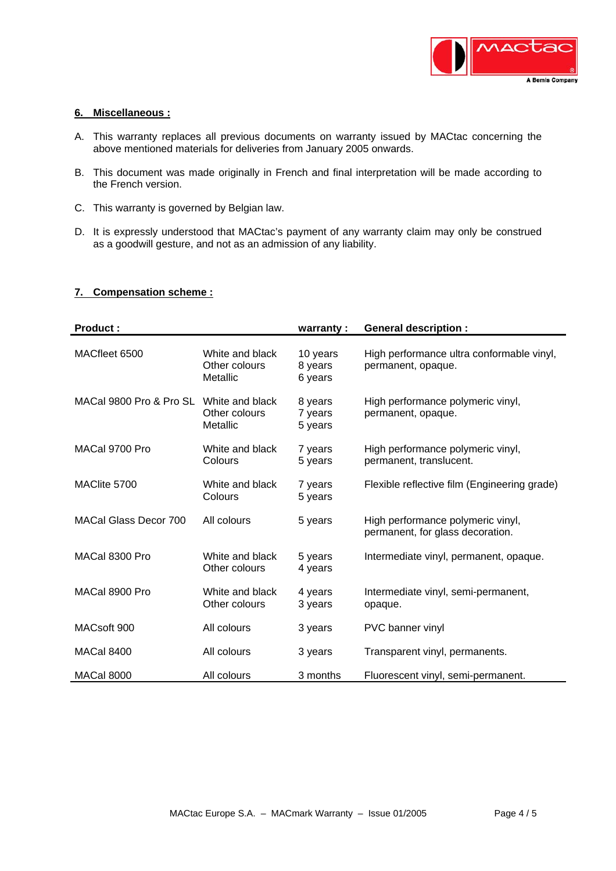

# **6. Miscellaneous :**

- A. This warranty replaces all previous documents on warranty issued by MACtac concerning the above mentioned materials for deliveries from January 2005 onwards.
- B. This document was made originally in French and final interpretation will be made according to the French version.
- C. This warranty is governed by Belgian law.
- D. It is expressly understood that MACtac's payment of any warranty claim may only be construed as a goodwill gesture, and not as an admission of any liability.

## **7. Compensation scheme :**

| <b>Product:</b>              |                                              | warranty:                      | <b>General description:</b>                                           |
|------------------------------|----------------------------------------------|--------------------------------|-----------------------------------------------------------------------|
| MACfleet 6500                | White and black<br>Other colours<br>Metallic | 10 years<br>8 years<br>6 years | High performance ultra conformable vinyl,<br>permanent, opaque.       |
| MACal 9800 Pro & Pro SL      | White and black<br>Other colours<br>Metallic | 8 years<br>7 years<br>5 years  | High performance polymeric vinyl,<br>permanent, opaque.               |
| MACal 9700 Pro               | White and black<br>Colours                   | 7 years<br>5 years             | High performance polymeric vinyl,<br>permanent, translucent.          |
| MAClite 5700                 | White and black<br>Colours                   | 7 years<br>5 years             | Flexible reflective film (Engineering grade)                          |
| <b>MACal Glass Decor 700</b> | All colours                                  | 5 years                        | High performance polymeric vinyl,<br>permanent, for glass decoration. |
| MACal 8300 Pro               | White and black<br>Other colours             | 5 years<br>4 years             | Intermediate vinyl, permanent, opaque.                                |
| MACal 8900 Pro               | White and black<br>Other colours             | 4 years<br>3 years             | Intermediate vinyl, semi-permanent,<br>opaque.                        |
| MACsoft 900                  | All colours                                  | 3 years                        | PVC banner vinyl                                                      |
| <b>MACal 8400</b>            | All colours                                  | 3 years                        | Transparent vinyl, permanents.                                        |
| <b>MACal 8000</b>            | All colours                                  | 3 months                       | Fluorescent vinyl, semi-permanent.                                    |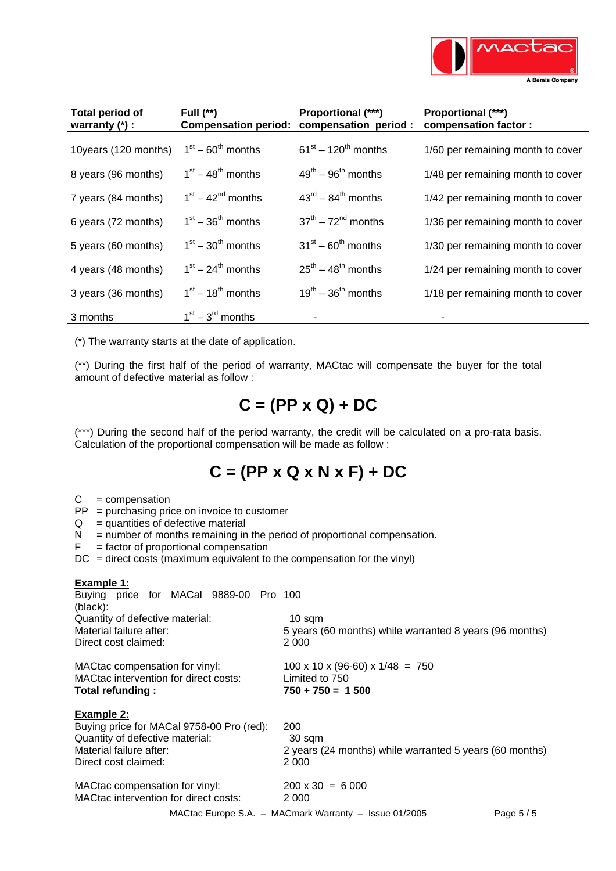

| <b>Total period of</b><br>warranty $(*)$ : | Full $(**)$         | <b>Proportional (***)</b><br>Compensation period: compensation period: | <b>Proportional (***)</b><br>compensation factor: |
|--------------------------------------------|---------------------|------------------------------------------------------------------------|---------------------------------------------------|
| 10years (120 months)                       | $1st - 60th$ months | $61^{st} - 120^{th}$ months                                            | 1/60 per remaining month to cover                 |
| 8 years (96 months)                        | $1st - 48th$ months | $49^{th}$ – $96^{th}$ months                                           | 1/48 per remaining month to cover                 |
| 7 years (84 months)                        | $1st - 42nd$ months | $43^{\text{rd}} - 84^{\text{th}}$ months                               | 1/42 per remaining month to cover                 |
| 6 years (72 months)                        | $1st - 36th$ months | $37th - 72nd$ months                                                   | 1/36 per remaining month to cover                 |
| 5 years (60 months)                        | $1st - 30th$ months | $31^{st} - 60^{th}$ months                                             | 1/30 per remaining month to cover                 |
| 4 years (48 months)                        | $1st - 24th$ months | $25^{th}$ – 48 <sup>th</sup> months                                    | 1/24 per remaining month to cover                 |
| 3 years (36 months)                        | $1st - 18th$ months | $19^{\text{th}} - 36^{\text{th}}$ months                               | 1/18 per remaining month to cover                 |
| 3 months                                   | $1st - 3rd$ months  |                                                                        |                                                   |

(\*) The warranty starts at the date of application.

(\*\*) During the first half of the period of warranty, MACtac will compensate the buyer for the total amount of defective material as follow :

# **C = (PP x Q) + DC**

(\*\*\*) During the second half of the period warranty, the credit will be calculated on a pro-rata basis. Calculation of the proportional compensation will be made as follow :

# **C = (PP x Q x N x F) + DC**

- $C =$  compensation
- PP = purchasing price on invoice to customer
- $Q =$  quantities of defective material
- $N =$  number of months remaining in the period of proportional compensation.
- $F =$  factor of proportional compensation
- $DC =$  direct costs (maximum equivalent to the compensation for the vinyl)

# **Example 1:**

| Buying price for MACal 9889-00 Pro 100<br>(black): |                                                                         |  |  |  |  |  |
|----------------------------------------------------|-------------------------------------------------------------------------|--|--|--|--|--|
| Quantity of defective material:                    | 10 sqm                                                                  |  |  |  |  |  |
| Material failure after:                            | 5 years (60 months) while warranted 8 years (96 months)                 |  |  |  |  |  |
| Direct cost claimed:                               | 2 0 0 0                                                                 |  |  |  |  |  |
| MACtac compensation for vinyl:                     | $100 \times 10 \times (96-60) \times 1/48 = 750$                        |  |  |  |  |  |
| MACtac intervention for direct costs:              | Limited to 750                                                          |  |  |  |  |  |
| Total refunding:                                   | $750 + 750 = 1500$                                                      |  |  |  |  |  |
| Example 2:                                         |                                                                         |  |  |  |  |  |
| Buying price for MACal 9758-00 Pro (red):          | 200                                                                     |  |  |  |  |  |
| Quantity of defective material:                    | 30 sqm                                                                  |  |  |  |  |  |
| Material failure after:                            | 2 years (24 months) while warranted 5 years (60 months)                 |  |  |  |  |  |
| Direct cost claimed:                               | 2 000                                                                   |  |  |  |  |  |
| MACtac compensation for vinyl:                     | $200 \times 30 = 6000$                                                  |  |  |  |  |  |
| MACtac intervention for direct costs:              | 2 0 0 0                                                                 |  |  |  |  |  |
|                                                    | MACtac Europe S.A. $-$ MACmark Warranty $-$ Issue 01/2005<br>Page $5/5$ |  |  |  |  |  |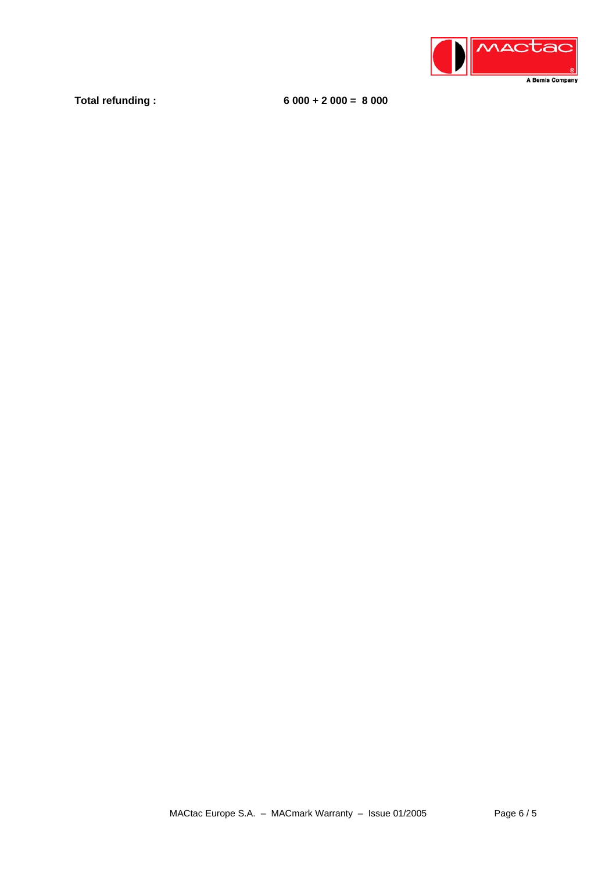

**Total refunding : 6 000 + 2 000 = 8 000**